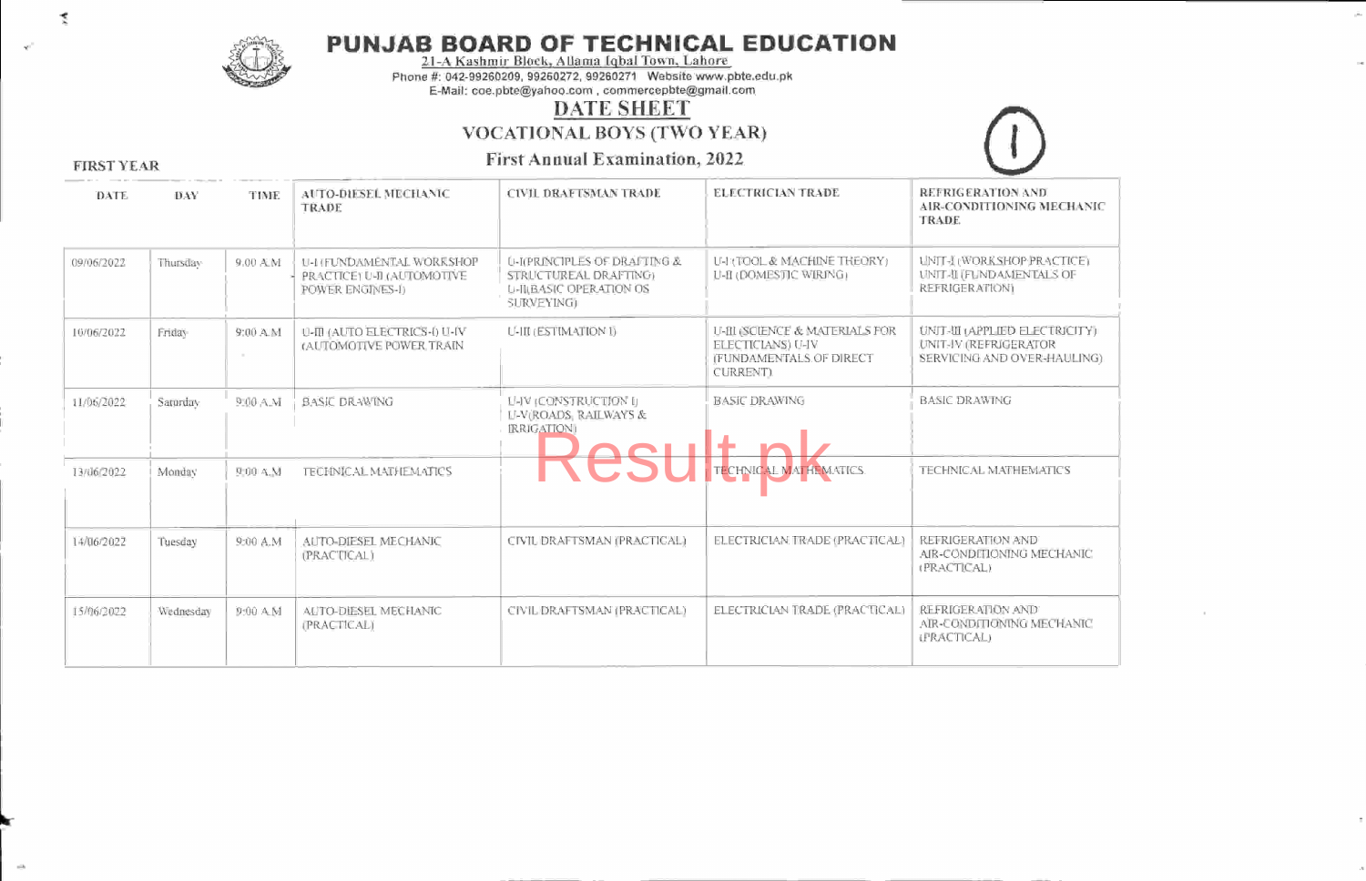

# PUNJAB BOARD OF TEGHNIGAL EDUGATION 21-A Kashmir Block. Allama Iqbal Town. Lahore

Phone #: 042-99260209, 99260272, 9926027 1 Website www.pbte.edu.pk E-Mail: coe.pbte@yahoo.com, commercepbte@gmail.com

#### DATE SHEET

vocATIoNAL BOYS (TWO YEAR)

First Annual Examination. 2022



FIRST YEAR

| DATE       | DAY       | TIME                | <b>AUTO-DIESEL MECHANIC</b><br>TRADE                                        | <b>CIVIL DRAFTSMAN TRADE</b>                                                                                     | <b>ELECTRICIAN TRADE</b>                                                                                  | REFRIGERATION AND<br>AIR-CONDITIONING MECHANIC<br><b>TRADE</b>                          |
|------------|-----------|---------------------|-----------------------------------------------------------------------------|------------------------------------------------------------------------------------------------------------------|-----------------------------------------------------------------------------------------------------------|-----------------------------------------------------------------------------------------|
| 09/06/2022 | Thursday  | 9.00 A.M            | U-I (FUNDAMENTAL WORKSHOP<br>PRACTICE) U-II (AUTOMOTIVE<br>POWER ENGINES-I) | <b>U-I(PRINCIPLES OF DRAFTING &amp;</b><br>STRUCTUREAL DRAFTING:<br><b>U-JILBASIC OPERATION OS</b><br>SURVEYING) | U-HOOL & MACHINE THEORY)<br>LLE (DOMESTIC WIRING)                                                         | UNIT-I (WORKSHOP PRACTICE)<br><b>UNIT-II (FUNDAMENTALS OF</b><br><b>REFRIGERATION)</b>  |
| 10/06/2022 | Friday    | $9:00 \, \text{AM}$ | U-III (AUTO ELECTRICS-I) U-IV<br>(AUTOMOTIVE POWER TRAIN                    | <b>U-III (ESTIMATION I)</b>                                                                                      | U-III (SCIENCE & MATERIALS FOR<br><b>ELECTICIANS</b> ) U-IV<br><b>IFUNDAMENTALS OF DIRECT</b><br>CURRENT) | UNIT-WI (APPLIED ELECTRICITY)<br>UNIT-IV (REFRIGERATOR)<br>SERVICING AND OVER-HAULING). |
| 11/06/2022 | Saturday  | 9:00 A.M            | <b>BASIC DRAWING</b>                                                        | U-IV (CONSTRUCTION I)<br><b>LI-V(ROADS, RAILWAYS &amp;</b><br><b>IRRIGATION</b>                                  | <b>BASIC DRAWING</b>                                                                                      | <b>BASIC DRAWING</b>                                                                    |
| 13/06/2022 | Monday    | 9:00 A.M.           | <b>TECHNICAL MATHEMATICS</b>                                                |                                                                                                                  | TECHNICAL MATHEMATICS.                                                                                    | TECHNICAL MATHEMATICS                                                                   |
| 14/06/2022 | Tuesday   | 9:00 A.M            | AUTO-DIESEL MECHANIC<br>(PRACTICAL)                                         | CIVIL DRAFTSMAN (PRACTICAL)                                                                                      | ELECTRICIAN TRADE (PRACTICAL)                                                                             | REFRIGERATION AND<br>AIR-CONDITIONING MECHANIC<br>(PRACTICAL)                           |
| 15/06/2022 | Wednesday | 9:00 A.M            | AUTO-DIESEL MECHANIC<br>(PRACTICAL)                                         | CIVIL DRAFTSMAN (PRACTICAL)                                                                                      | ELECTRICIAN TRADE (PRACTICAL)                                                                             | REFRIGERATION AND<br>AIR-CONDITIONING MECHANIC<br>LPRACTICAL)                           |

k

L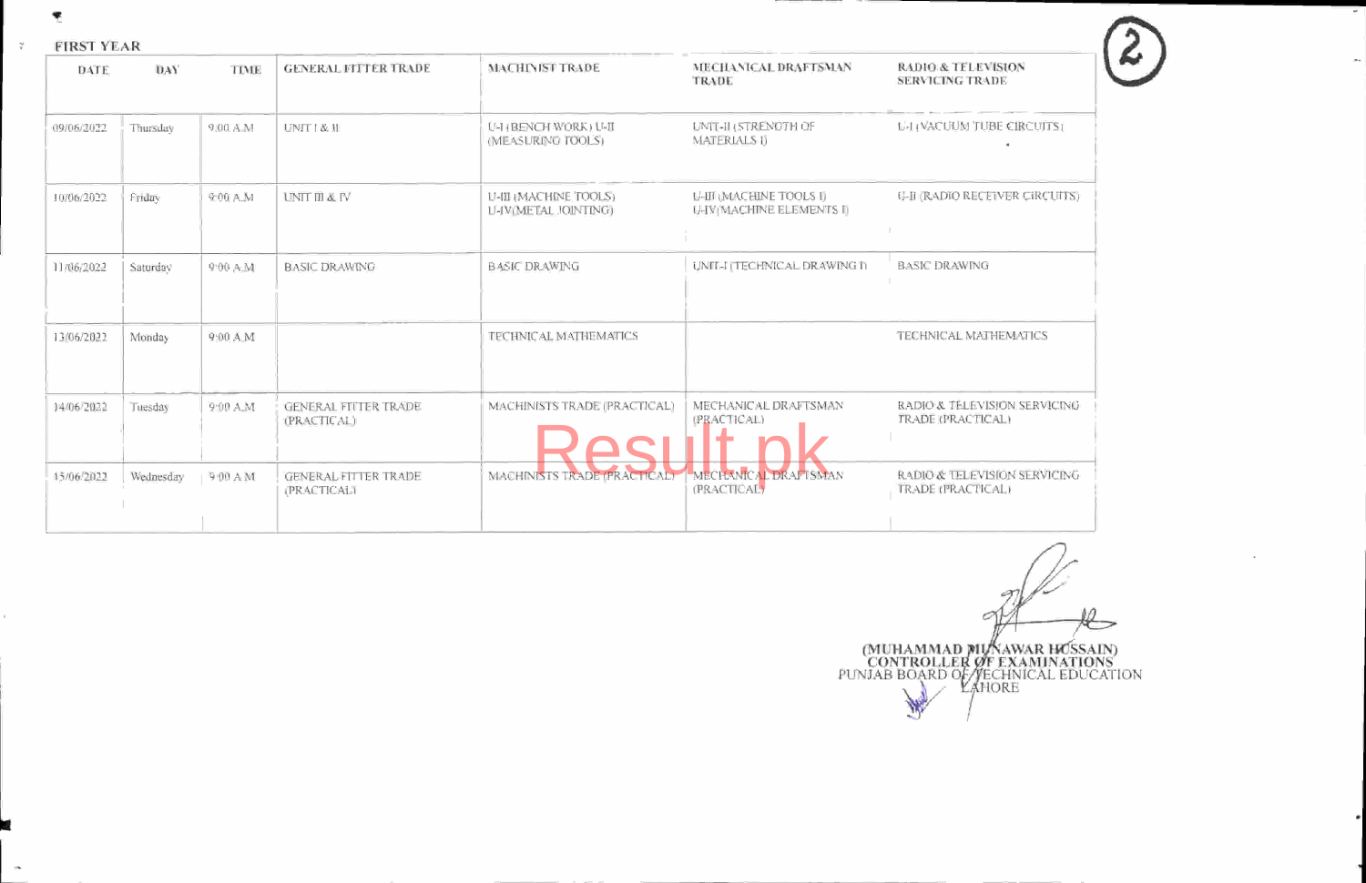!

×.

FIRSTYEAR

| FIRST YEAR |            |                     |                                                   |                                                      |                                                     |                                                         |
|------------|------------|---------------------|---------------------------------------------------|------------------------------------------------------|-----------------------------------------------------|---------------------------------------------------------|
| DATE       | <b>DAY</b> | <b>TIME</b>         | <b>GENERAL FITTER TRADE</b>                       | MACHINIST TRADE                                      | MECHANICAL DRAFTSMAN<br>TRADE                       | <b>RADIO &amp; TELEVISION</b><br><b>SERVICING TRADE</b> |
| 09/06/2022 | Thursday   | 9.00 A.M            | UNIT   & II                                       | U-1 (BENCH WORK) U-II<br>(MEASURING TOOLS)           | UNIT-II (STRENGTH OF<br><b>MATERIALS IJ</b>         | <b>L-HACUUM TUBE CIRCUITS1</b>                          |
| 10/06/2022 | Friday     | 9:00 A.M            | <b>UNIT III &amp; IV</b>                          | U-III (MACHINE TOOLS)<br><b>U-IVIMETAL JOINTING)</b> | U-III (MACHINE TOOLS I)<br>U-IV(MACHINE ELEMENTS II | <b>U-II (RADIO RECEIVER CIRCUITS)</b>                   |
| 11/06/2022 | Saturday   | 9:00 A.M.           | <b>BASIC DRAWING</b>                              | <b>BASIC DRAWING</b>                                 | UNIT-I ITECHNICAL DRAWING IT                        | <b>BASIC DRAWING</b>                                    |
| 13/06/2022 | Monday     | 9:00 A M            |                                                   | TECHNICAL MATHEMATICS                                |                                                     | TECHNICAL MATHEMATICS                                   |
| 14/06/2022 | Tuesday    | 9:00 A.M            | <b>GENERAL FIITER TRADE</b><br><b>(PRACTICAL)</b> | MACHINISTS TRADE (PRACTICAL)                         | MECHANICAL DRAFTSMAN<br>(PRACTICAL)                 | RADIO & TELEVISION SERVICING<br>TRADE (PRACTICAL)       |
| 15/06/2022 | Wednesday  | $+9.00 \text{ A M}$ | <b>GENERAL FITTER TRADE</b><br><b>PRACTICALT</b>  | MACHINISTS TRADE (PRACTICAL)                         | MECHANICAL DRAFTSMAN<br>(PRACTICAL)                 | RADIO & TELEVISION SERVICING<br>TRADE (PRACTICAL)       |
|            |            |                     |                                                   |                                                      |                                                     |                                                         |

Ò (MUHAMMAI) (MUHAMMAD MUNAWAR HOSSAIN)<br>
CONTROLLER OF EXAMINATIONS<br>
PUNJAB BOARD OF TECHNICAL EDUCATION<br>
LAHORE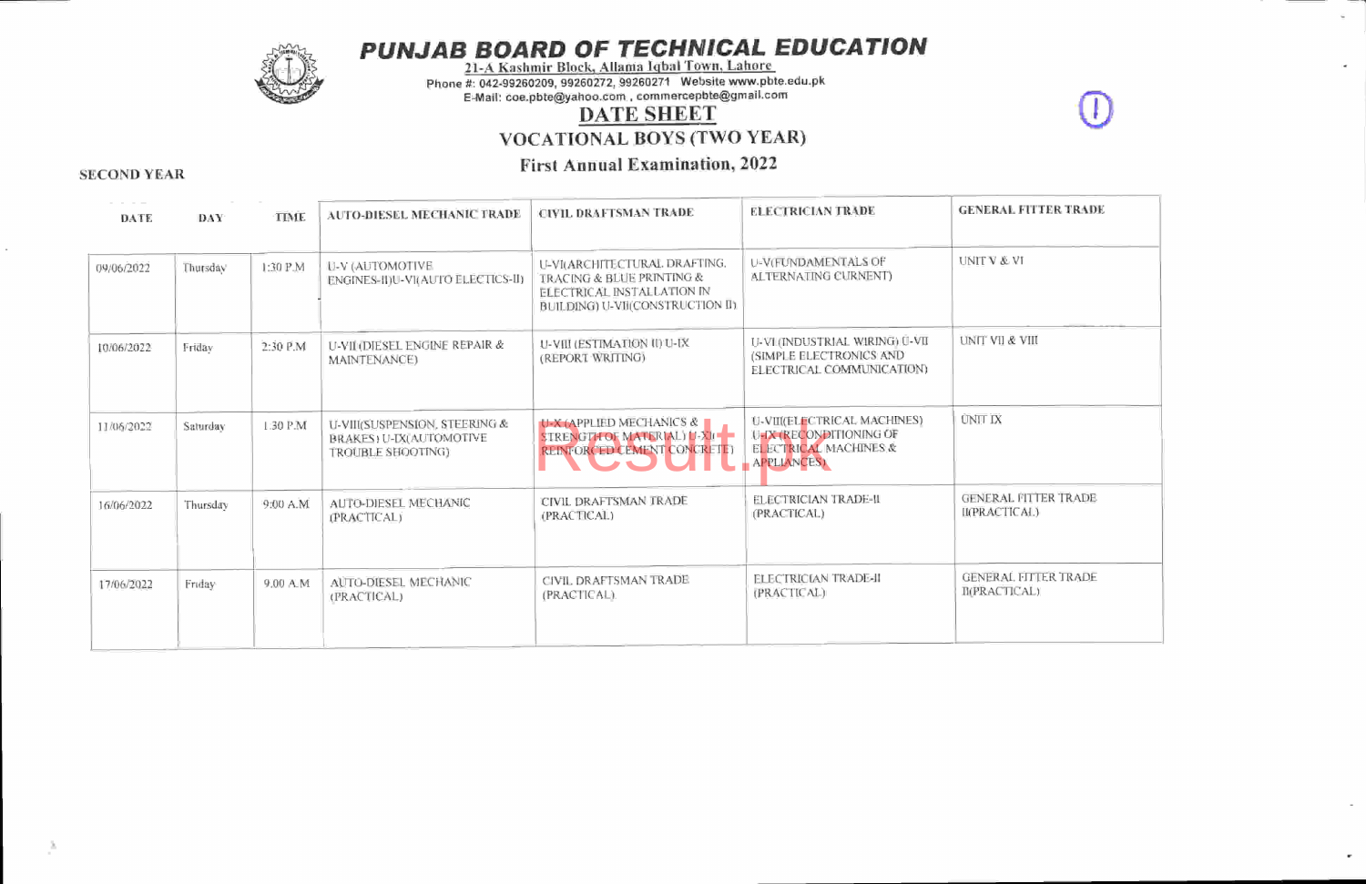

PUNJAB BOARD OF TECHNICAL EDUCATION<br>21-A Kashmir Block, Allama Iqbal Town, Lahore

Phone #: 042-99260209, 99260272, 99260271 Website www.pbte.edu.pk

E-Mail: coe.pbte@yahoo.com, commercepbte@gmail'com

## DATE SHEET

vocATIoNAL BOYS (TWO YEAR)

### First Annual Examination, <sup>2022</sup> SECOND YEAR

| <b>DATE</b> | DAY:     | TIME      | <b>AUTO-DIESEL MECHANIC TRADE</b>                                                    | <b>CIVIL DRAFTSMAN TRADE</b>                                                                                                 | <b>ELECTRICIAN TRADE</b>                                                                                  | <b>GENERAL FITTER TRADE</b>                  |
|-------------|----------|-----------|--------------------------------------------------------------------------------------|------------------------------------------------------------------------------------------------------------------------------|-----------------------------------------------------------------------------------------------------------|----------------------------------------------|
| 09/06/2022  | Thursday | 1:30 P.M  | U-V (AUTOMOTIVE<br>ENGINES-II)U-VI(AUTO ELECTICS-II)                                 | LI-VI(ARCHITECTURAL DRAFTING.<br>TRACING & BLUE PRINTING &<br>ELECTRICAL INSTALLATION IN<br>BUILDING) U-VII(CONSTRUCTION II) | U-V(FUNDAMENTALS OF<br>ALTERNATING CURNENT)                                                               | <b>UNITY &amp; VI</b>                        |
| 10/06/2022  | Friday   | 2:30 P.M  | U-VII (DIESEL ENGINE REPAIR &<br>MAINTENANCE)                                        | U-VIII (ESTIMATION II) U-IX<br>(REPORT WRITING)                                                                              | U-VI (INDUSTRIAL WIRING) Ú-VII<br>(SIMPLE ELECTRONICS AND<br><b>ELECTRICAL COMMUNICATION)</b>             | <b>UNIT VII &amp; VIII</b>                   |
| 11/06/2022  | Saturday | 1:30 P.M  | U-VIII(SUSPENSION, STEERING &<br><b>BRAKES: U-IX(AUTOMOTIVE</b><br>TROUBLE SHOOTING) | <b>U-X (APPLIED MECHANICS &amp;</b><br>STRENGTH OF MATERIAL) H-XII-<br>REINFORCED CEMENT CONCRETE)                           | U-VIII(ELECTRICAL MACHINES)<br>U-IX (RECONDITIONING OF<br><b>ELECTRICAL MACHINES &amp;</b><br>APPLIANCES) | <b>UNIT IX</b>                               |
| 16/06/2022  | Thursday | 9:00 A.M. | AUTO-DIESEL MECHANIC<br>(PRACTICAL)                                                  | CIVIL DRAFTSMAN TRADE<br>(PRACTICAL)                                                                                         | <b>ELECTRICIAN TRADE-II</b><br>(PRACTICAL)                                                                | <b>GENERAL FITTER TRADE</b><br>II(PRACTICAL) |
| 17/06/2022  | Friday   | 9.00 A.M  | AUTO-DIESEL MECHANIC<br>(FRACTICAL)                                                  | CIVIL DRAFTSMAN TRADE<br>(PRACTICAL).                                                                                        | <b>FLECTRICIAN TRADE-II</b><br>(PRACTICAL)                                                                | <b>GENERAL FITTER TRADE</b><br>B(PRACTICAL)  |